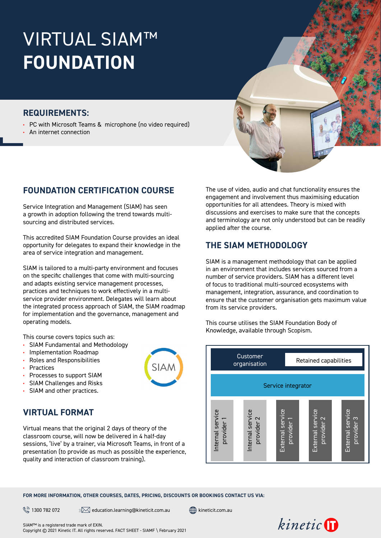# VIRTUAL SIAM™ **FOUNDATION**

### **REQUIREMENTS:**

**•** PC with Microsoft Teams & microphone (no video required)

**•** An internet connection

# **FOUNDATION CERTIFICATION COURSE**

Service Integration and Management (SIAM) has seen a growth in adoption following the trend towards multisourcing and distributed services.

This accredited SIAM Foundation Course provides an ideal opportunity for delegates to expand their knowledge in the area of service integration and management.

SIAM is tailored to a multi-party environment and focuses on the specific challenges that come with multi-sourcing and adapts existing service management processes, practices and techniques to work effectively in a multiservice provider environment. Delegates will learn about the integrated process approach of SIAM, the SIAM roadmap for implementation and the governance, management and operating models.

This course covers topics such as:

**•** SIAM Fundamental and Methodology

- **•** Implementation Roadmap
- **•** Roles and Responsibilities
- **•** Practices
- **•** Processes to support SIAM
- **•** SIAM Challenges and Risks
- **•** SIAM and other practices.

# **VIRTUAL FORMAT**

Virtual means that the original 2 days of theory of the classroom course, will now be delivered in 4 half-day sessions, 'live' by a trainer, via Microsoft Teams, in front of a presentation (to provide as much as possible the experience, quality and interaction of classroom training).

The use of video, audio and chat functionality ensures the engagement and involvement thus maximising education opportunities for all attendees. Theory is mixed with discussions and exercises to make sure that the concepts and terminology are not only understood but can be readily applied after the course.

# **THE SIAM METHODOLOGY**

SIAM is a management methodology that can be applied in an environment that includes services sourced from a number of service providers. SIAM has a different level of focus to traditional multi-sourced ecosystems with management, integration, assurance, and coordination to ensure that the customer organisation gets maximum value from its service providers.

This course utilises the SIAM Foundation Body of Knowledge, available through Scopism.



**FOR MORE INFORMATION, OTHER COURSES, DATES, PRICING, DISCOUNTS OR BOOKINGS CONTACT US VIA:**

 $\mathbb{R}^{\mathbb{R}}$  1300 782 072  $\mathbb{R}$  education.learning@[kineticit.com.au](http://kineticit.com.au)  $\mathbb{R}$  kineticit.com.au